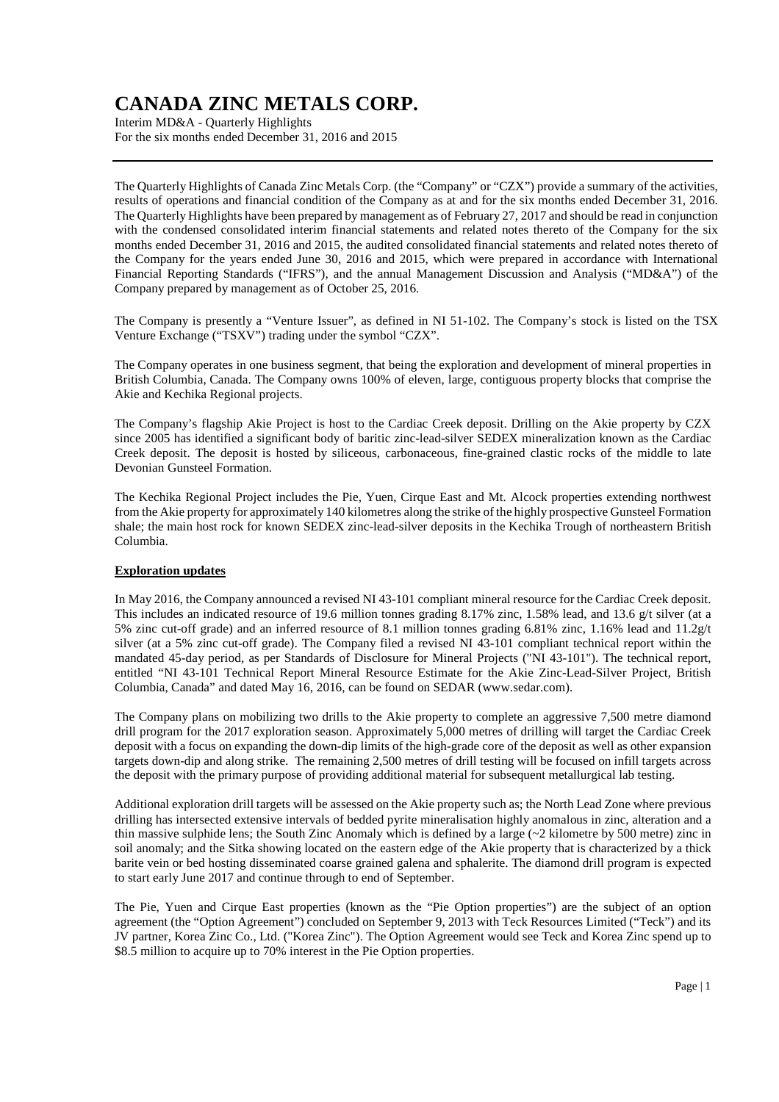Interim MD&A - Quarterly Highlights For the six months ended December 31, 2016 and 2015

The Quarterly Highlights of Canada Zinc Metals Corp. (the "Company" or "CZX") provide a summary of the activities, results of operations and financial condition of the Company as at and for the six months ended December 31, 2016. The Quarterly Highlights have been prepared by management as of February 27, 2017 and should be read in conjunction with the condensed consolidated interim financial statements and related notes thereto of the Company for the six months ended December 31, 2016 and 2015, the audited consolidated financial statements and related notes thereto of the Company for the years ended June 30, 2016 and 2015, which were prepared in accordance with International Financial Reporting Standards ("IFRS"), and the annual Management Discussion and Analysis ("MD&A") of the Company prepared by management as of October 25, 2016.

The Company is presently a "Venture Issuer", as defined in NI 51-102. The Company's stock is listed on the TSX Venture Exchange ("TSXV") trading under the symbol "CZX".

The Company operates in one business segment, that being the exploration and development of mineral properties in British Columbia, Canada. The Company owns 100% of eleven, large, contiguous property blocks that comprise the Akie and Kechika Regional projects.

The Company's flagship Akie Project is host to the Cardiac Creek deposit. Drilling on the Akie property by CZX since 2005 has identified a significant body of baritic zinc-lead-silver SEDEX mineralization known as the Cardiac Creek deposit. The deposit is hosted by siliceous, carbonaceous, fine-grained clastic rocks of the middle to late Devonian Gunsteel Formation.

The Kechika Regional Project includes the Pie, Yuen, Cirque East and Mt. Alcock properties extending northwest from the Akie property for approximately 140 kilometres along the strike of the highly prospective Gunsteel Formation shale; the main host rock for known SEDEX zinc-lead-silver deposits in the Kechika Trough of northeastern British Columbia.

### **Exploration updates**

In May 2016, the Company announced a revised NI 43-101 compliant mineral resource for the Cardiac Creek deposit. This includes an indicated resource of 19.6 million tonnes grading 8.17% zinc, 1.58% lead, and 13.6 g/t silver (at a 5% zinc cut-off grade) and an inferred resource of 8.1 million tonnes grading 6.81% zinc, 1.16% lead and 11.2g/t silver (at a 5% zinc cut-off grade). The Company filed a revised NI 43-101 compliant technical report within the mandated 45-day period, as per Standards of Disclosure for Mineral Projects ("NI 43-101"). The technical report, entitled "NI 43-101 Technical Report Mineral Resource Estimate for the Akie Zinc-Lead-Silver Project, British Columbia, Canada" and dated May 16, 2016, can be found on SEDAR (www.sedar.com).

The Company plans on mobilizing two drills to the Akie property to complete an aggressive 7,500 metre diamond drill program for the 2017 exploration season. Approximately 5,000 metres of drilling will target the Cardiac Creek deposit with a focus on expanding the down-dip limits of the high-grade core of the deposit as well as other expansion targets down-dip and along strike. The remaining 2,500 metres of drill testing will be focused on infill targets across the deposit with the primary purpose of providing additional material for subsequent metallurgical lab testing.

Additional exploration drill targets will be assessed on the Akie property such as; the North Lead Zone where previous drilling has intersected extensive intervals of bedded pyrite mineralisation highly anomalous in zinc, alteration and a thin massive sulphide lens; the South Zinc Anomaly which is defined by a large (~2 kilometre by 500 metre) zinc in soil anomaly; and the Sitka showing located on the eastern edge of the Akie property that is characterized by a thick barite vein or bed hosting disseminated coarse grained galena and sphalerite. The diamond drill program is expected to start early June 2017 and continue through to end of September.

The Pie, Yuen and Cirque East properties (known as the "Pie Option properties") are the subject of an option agreement (the "Option Agreement") concluded on September 9, 2013 with Teck Resources Limited ("Teck") and its JV partner, Korea Zinc Co., Ltd. ("Korea Zinc"). The Option Agreement would see Teck and Korea Zinc spend up to \$8.5 million to acquire up to 70% interest in the Pie Option properties.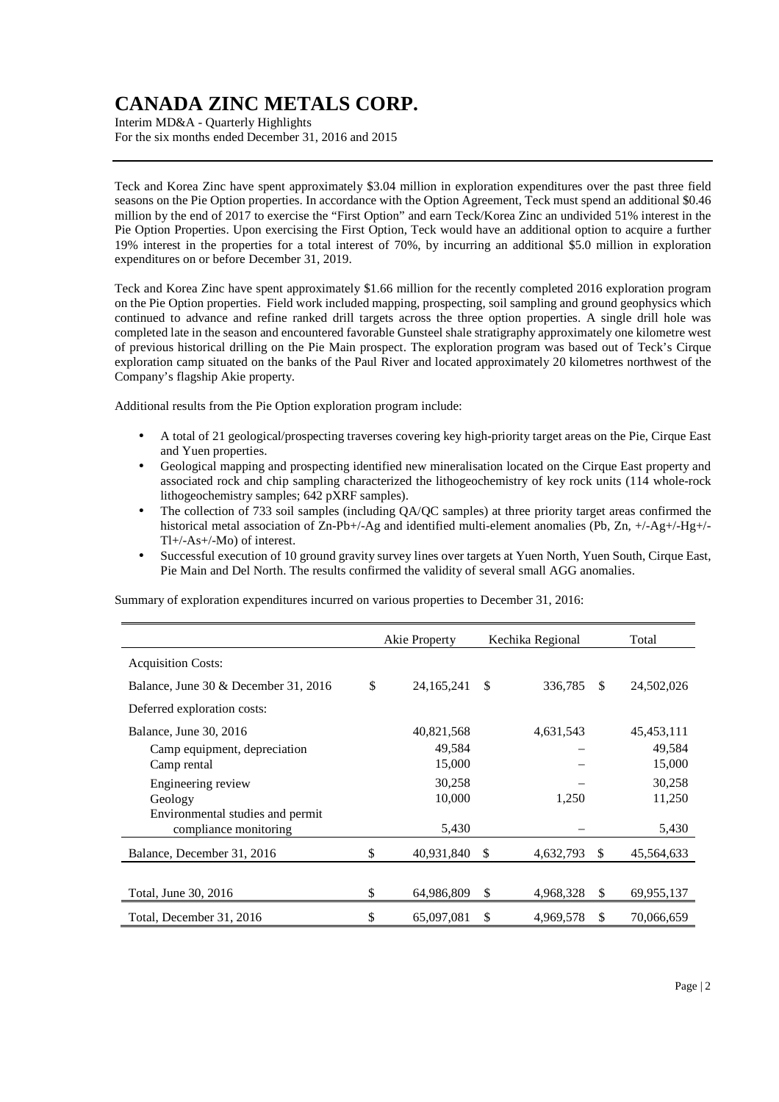Interim MD&A - Quarterly Highlights For the six months ended December 31, 2016 and 2015

Teck and Korea Zinc have spent approximately \$3.04 million in exploration expenditures over the past three field seasons on the Pie Option properties. In accordance with the Option Agreement, Teck must spend an additional \$0.46 million by the end of 2017 to exercise the "First Option" and earn Teck/Korea Zinc an undivided 51% interest in the Pie Option Properties. Upon exercising the First Option, Teck would have an additional option to acquire a further 19% interest in the properties for a total interest of 70%, by incurring an additional \$5.0 million in exploration expenditures on or before December 31, 2019.

Teck and Korea Zinc have spent approximately \$1.66 million for the recently completed 2016 exploration program on the Pie Option properties. Field work included mapping, prospecting, soil sampling and ground geophysics which continued to advance and refine ranked drill targets across the three option properties. A single drill hole was completed late in the season and encountered favorable Gunsteel shale stratigraphy approximately one kilometre west of previous historical drilling on the Pie Main prospect. The exploration program was based out of Teck's Cirque exploration camp situated on the banks of the Paul River and located approximately 20 kilometres northwest of the Company's flagship Akie property.

Additional results from the Pie Option exploration program include:

- A total of 21 geological/prospecting traverses covering key high-priority target areas on the Pie, Cirque East and Yuen properties.
- Geological mapping and prospecting identified new mineralisation located on the Cirque East property and associated rock and chip sampling characterized the lithogeochemistry of key rock units (114 whole-rock lithogeochemistry samples; 642 pXRF samples).
- The collection of 733 soil samples (including QA/QC samples) at three priority target areas confirmed the historical metal association of Zn-Pb+/-Ag and identified multi-element anomalies (Pb, Zn, +/-Ag+/-Hg+/-Tl+/-As+/-Mo) of interest.
- Successful execution of 10 ground gravity survey lines over targets at Yuen North, Yuen South, Cirque East, Pie Main and Del North. The results confirmed the validity of several small AGG anomalies.

Summary of exploration expenditures incurred on various properties to December 31, 2016:

|                                      | Akie Property      |    | Kechika Regional |    | Total      |
|--------------------------------------|--------------------|----|------------------|----|------------|
| <b>Acquisition Costs:</b>            |                    |    |                  |    |            |
| Balance, June 30 & December 31, 2016 | \$<br>24, 165, 241 | -S | 336,785          | \$ | 24,502,026 |
| Deferred exploration costs:          |                    |    |                  |    |            |
| Balance, June 30, 2016               | 40,821,568         |    | 4,631,543        |    | 45,453,111 |
| Camp equipment, depreciation         | 49,584             |    |                  |    | 49,584     |
| Camp rental                          | 15,000             |    |                  |    | 15,000     |
| Engineering review                   | 30,258             |    |                  |    | 30,258     |
| Geology                              | 10,000             |    | 1,250            |    | 11,250     |
| Environmental studies and permit     |                    |    |                  |    |            |
| compliance monitoring                | 5,430              |    |                  |    | 5,430      |
| Balance, December 31, 2016           | \$<br>40,931,840   | \$ | 4,632,793        | \$ | 45,564,633 |
|                                      |                    |    |                  |    |            |
| Total, June 30, 2016                 | \$<br>64,986,809   | S  | 4,968,328        | \$ | 69,955,137 |
| Total, December 31, 2016             | \$<br>65,097,081   | -S | 4,969,578        | \$ | 70,066,659 |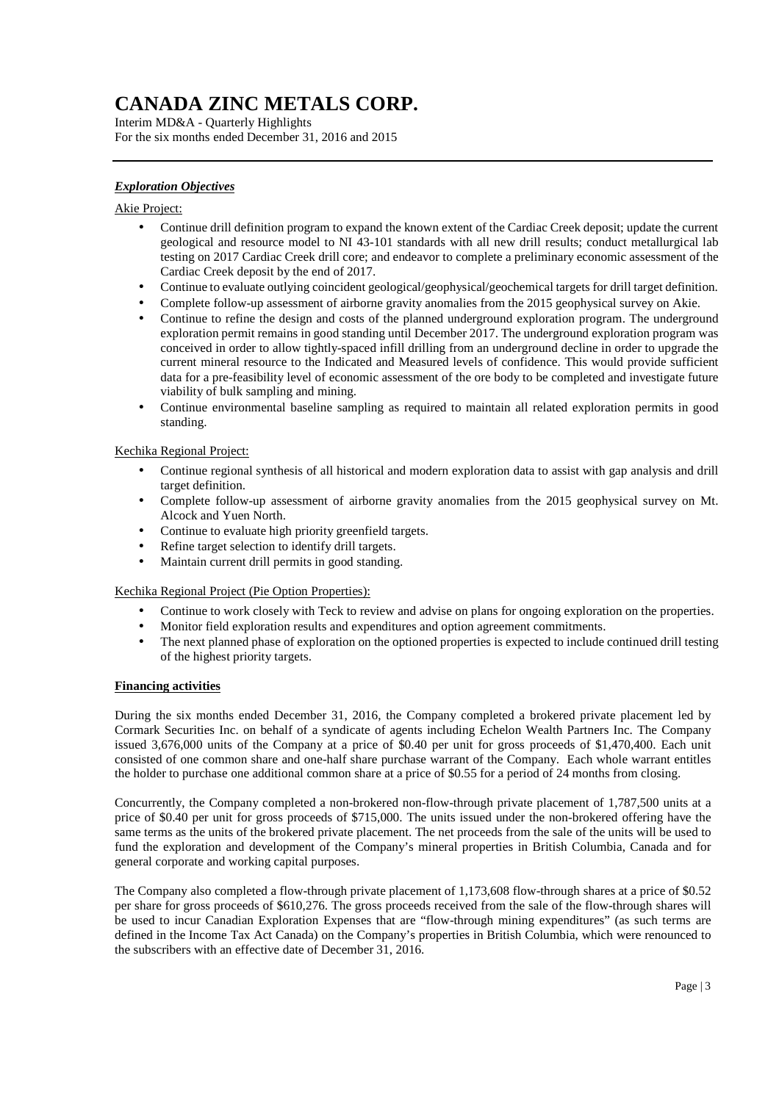Interim MD&A - Quarterly Highlights For the six months ended December 31, 2016 and 2015

### *Exploration Objectives*

#### Akie Project:

- Continue drill definition program to expand the known extent of the Cardiac Creek deposit; update the current geological and resource model to NI 43-101 standards with all new drill results; conduct metallurgical lab testing on 2017 Cardiac Creek drill core; and endeavor to complete a preliminary economic assessment of the Cardiac Creek deposit by the end of 2017.
- Continue to evaluate outlying coincident geological/geophysical/geochemical targets for drill target definition.
- Complete follow-up assessment of airborne gravity anomalies from the 2015 geophysical survey on Akie.
- Continue to refine the design and costs of the planned underground exploration program. The underground exploration permit remains in good standing until December 2017. The underground exploration program was conceived in order to allow tightly-spaced infill drilling from an underground decline in order to upgrade the current mineral resource to the Indicated and Measured levels of confidence. This would provide sufficient data for a pre-feasibility level of economic assessment of the ore body to be completed and investigate future viability of bulk sampling and mining.
- Continue environmental baseline sampling as required to maintain all related exploration permits in good standing.

#### Kechika Regional Project:

- Continue regional synthesis of all historical and modern exploration data to assist with gap analysis and drill target definition.
- Complete follow-up assessment of airborne gravity anomalies from the 2015 geophysical survey on Mt. Alcock and Yuen North.
- Continue to evaluate high priority greenfield targets.
- Refine target selection to identify drill targets.
- Maintain current drill permits in good standing.

#### Kechika Regional Project (Pie Option Properties):

- Continue to work closely with Teck to review and advise on plans for ongoing exploration on the properties.
- Monitor field exploration results and expenditures and option agreement commitments.
- The next planned phase of exploration on the optioned properties is expected to include continued drill testing of the highest priority targets.

#### **Financing activities**

During the six months ended December 31, 2016, the Company completed a brokered private placement led by Cormark Securities Inc. on behalf of a syndicate of agents including Echelon Wealth Partners Inc. The Company issued 3,676,000 units of the Company at a price of \$0.40 per unit for gross proceeds of \$1,470,400. Each unit consisted of one common share and one-half share purchase warrant of the Company. Each whole warrant entitles the holder to purchase one additional common share at a price of \$0.55 for a period of 24 months from closing.

Concurrently, the Company completed a non-brokered non-flow-through private placement of 1,787,500 units at a price of \$0.40 per unit for gross proceeds of \$715,000. The units issued under the non-brokered offering have the same terms as the units of the brokered private placement. The net proceeds from the sale of the units will be used to fund the exploration and development of the Company's mineral properties in British Columbia, Canada and for general corporate and working capital purposes.

The Company also completed a flow-through private placement of 1,173,608 flow-through shares at a price of \$0.52 per share for gross proceeds of \$610,276. The gross proceeds received from the sale of the flow-through shares will be used to incur Canadian Exploration Expenses that are "flow-through mining expenditures" (as such terms are defined in the Income Tax Act Canada) on the Company's properties in British Columbia, which were renounced to the subscribers with an effective date of December 31, 2016.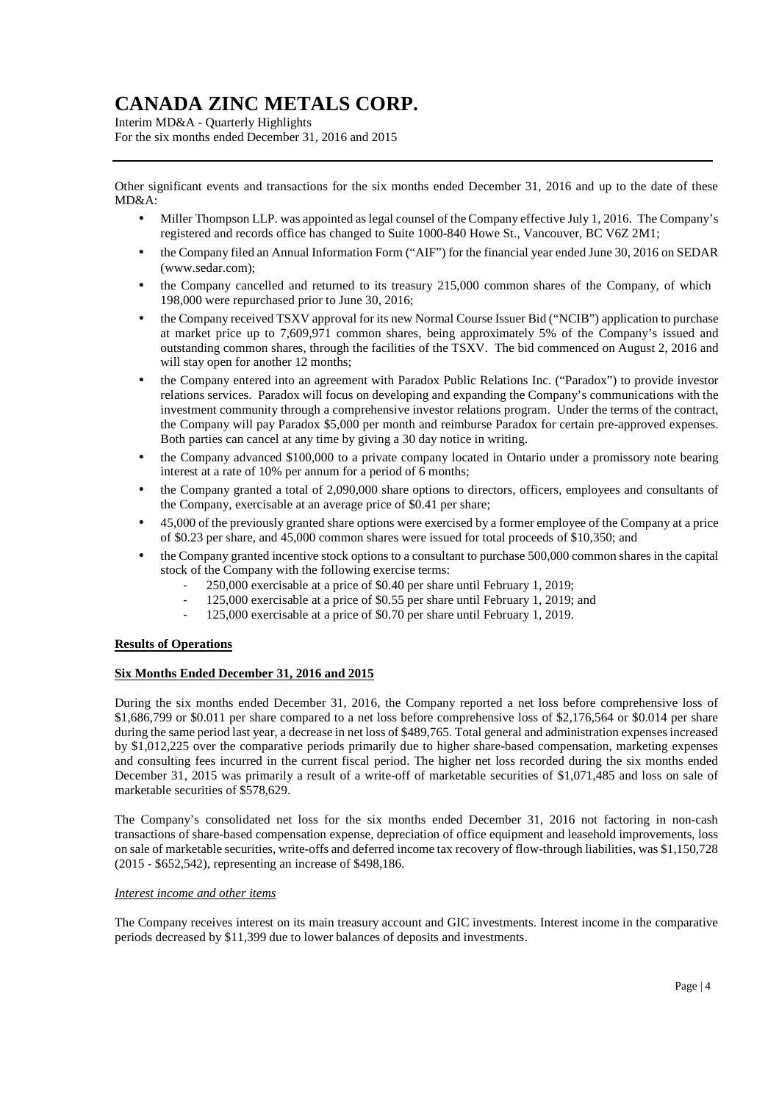Interim MD&A - Quarterly Highlights For the six months ended December 31, 2016 and 2015

Other significant events and transactions for the six months ended December 31, 2016 and up to the date of these MD&A:

- Miller Thompson LLP. was appointed as legal counsel of the Company effective July 1, 2016. The Company's registered and records office has changed to Suite 1000-840 Howe St., Vancouver, BC V6Z 2M1;
- the Company filed an Annual Information Form ("AIF") for the financial year ended June 30, 2016 on SEDAR (www.sedar.com);
- the Company cancelled and returned to its treasury 215,000 common shares of the Company, of which 198,000 were repurchased prior to June 30, 2016;
- the Company received TSXV approval for its new Normal Course Issuer Bid ("NCIB") application to purchase at market price up to 7,609,971 common shares, being approximately 5% of the Company's issued and outstanding common shares, through the facilities of the TSXV. The bid commenced on August 2, 2016 and will stay open for another 12 months;
- the Company entered into an agreement with Paradox Public Relations Inc. ("Paradox") to provide investor relations services. Paradox will focus on developing and expanding the Company's communications with the investment community through a comprehensive investor relations program. Under the terms of the contract, the Company will pay Paradox \$5,000 per month and reimburse Paradox for certain pre-approved expenses. Both parties can cancel at any time by giving a 30 day notice in writing.
- the Company advanced \$100,000 to a private company located in Ontario under a promissory note bearing interest at a rate of 10% per annum for a period of 6 months;
- the Company granted a total of 2,090,000 share options to directors, officers, employees and consultants of the Company, exercisable at an average price of \$0.41 per share;
- 45,000 of the previously granted share options were exercised by a former employee of the Company at a price of \$0.23 per share, and 45,000 common shares were issued for total proceeds of \$10,350; and
- the Company granted incentive stock options to a consultant to purchase 500,000 common shares in the capital stock of the Company with the following exercise terms:
	- 250,000 exercisable at a price of \$0.40 per share until February 1, 2019;
	- 125,000 exercisable at a price of \$0.55 per share until February 1, 2019; and
	- 125,000 exercisable at a price of \$0.70 per share until February 1, 2019.

#### **Results of Operations**

#### **Six Months Ended December 31, 2016 and 2015**

During the six months ended December 31, 2016, the Company reported a net loss before comprehensive loss of \$1,686,799 or \$0.011 per share compared to a net loss before comprehensive loss of \$2,176,564 or \$0.014 per share during the same period last year, a decrease in net loss of \$489,765. Total general and administration expenses increased by \$1,012,225 over the comparative periods primarily due to higher share-based compensation, marketing expenses and consulting fees incurred in the current fiscal period. The higher net loss recorded during the six months ended December 31, 2015 was primarily a result of a write-off of marketable securities of \$1,071,485 and loss on sale of marketable securities of \$578,629.

The Company's consolidated net loss for the six months ended December 31, 2016 not factoring in non-cash transactions of share-based compensation expense, depreciation of office equipment and leasehold improvements, loss on sale of marketable securities, write-offs and deferred income tax recovery of flow-through liabilities, was \$1,150,728 (2015 - \$652,542), representing an increase of \$498,186.

#### *Interest income and other items*

The Company receives interest on its main treasury account and GIC investments. Interest income in the comparative periods decreased by \$11,399 due to lower balances of deposits and investments.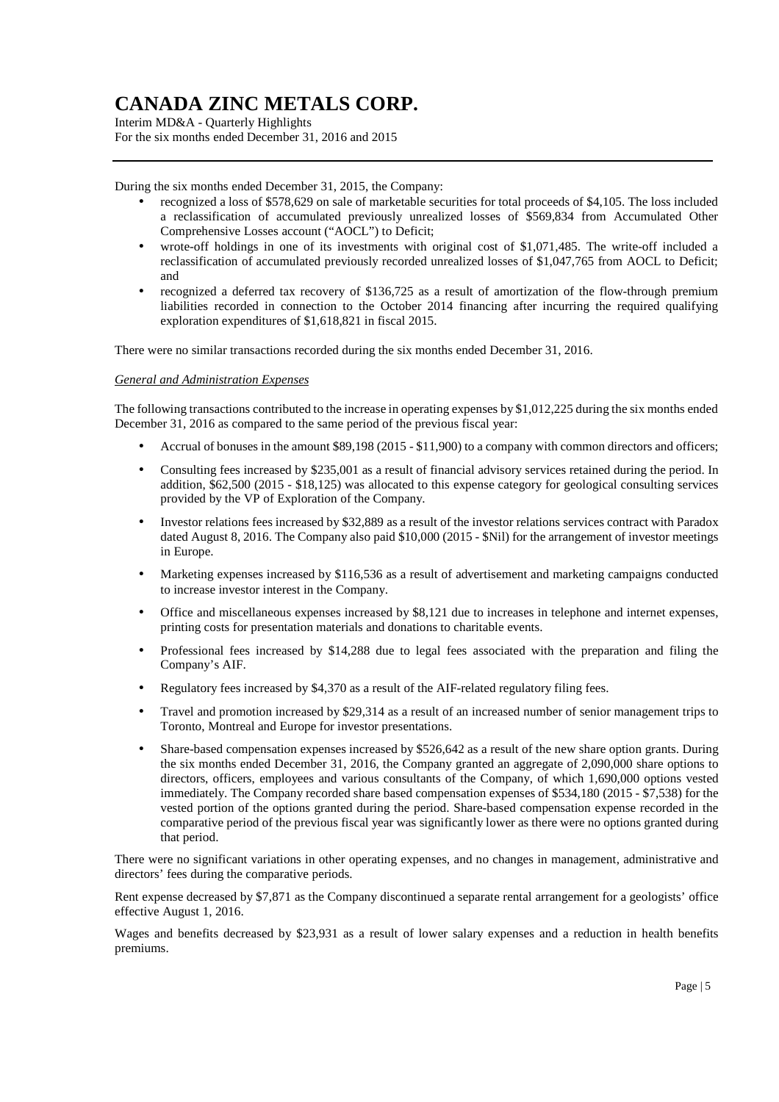Interim MD&A - Quarterly Highlights For the six months ended December 31, 2016 and 2015

During the six months ended December 31, 2015, the Company:

- recognized a loss of \$578,629 on sale of marketable securities for total proceeds of \$4,105. The loss included a reclassification of accumulated previously unrealized losses of \$569,834 from Accumulated Other Comprehensive Losses account ("AOCL") to Deficit;
- wrote-off holdings in one of its investments with original cost of \$1,071,485. The write-off included a reclassification of accumulated previously recorded unrealized losses of \$1,047,765 from AOCL to Deficit; and
- recognized a deferred tax recovery of \$136,725 as a result of amortization of the flow-through premium liabilities recorded in connection to the October 2014 financing after incurring the required qualifying exploration expenditures of \$1,618,821 in fiscal 2015.

There were no similar transactions recorded during the six months ended December 31, 2016.

#### *General and Administration Expenses*

The following transactions contributed to the increase in operating expenses by \$1,012,225 during the six months ended December 31, 2016 as compared to the same period of the previous fiscal year:

- Accrual of bonuses in the amount \$89,198 (2015 \$11,900) to a company with common directors and officers;
- Consulting fees increased by \$235,001 as a result of financial advisory services retained during the period. In addition, \$62,500 (2015 - \$18,125) was allocated to this expense category for geological consulting services provided by the VP of Exploration of the Company.
- Investor relations fees increased by \$32,889 as a result of the investor relations services contract with Paradox dated August 8, 2016. The Company also paid \$10,000 (2015 - \$Nil) for the arrangement of investor meetings in Europe.
- Marketing expenses increased by \$116,536 as a result of advertisement and marketing campaigns conducted to increase investor interest in the Company.
- Office and miscellaneous expenses increased by \$8,121 due to increases in telephone and internet expenses, printing costs for presentation materials and donations to charitable events.
- Professional fees increased by \$14,288 due to legal fees associated with the preparation and filing the Company's AIF.
- Regulatory fees increased by \$4,370 as a result of the AIF-related regulatory filing fees.
- Travel and promotion increased by \$29,314 as a result of an increased number of senior management trips to Toronto, Montreal and Europe for investor presentations.
- Share-based compensation expenses increased by \$526,642 as a result of the new share option grants. During the six months ended December 31, 2016, the Company granted an aggregate of 2,090,000 share options to directors, officers, employees and various consultants of the Company, of which 1,690,000 options vested immediately. The Company recorded share based compensation expenses of \$534,180 (2015 - \$7,538) for the vested portion of the options granted during the period. Share-based compensation expense recorded in the comparative period of the previous fiscal year was significantly lower as there were no options granted during that period.

There were no significant variations in other operating expenses, and no changes in management, administrative and directors' fees during the comparative periods.

Rent expense decreased by \$7,871 as the Company discontinued a separate rental arrangement for a geologists' office effective August 1, 2016.

Wages and benefits decreased by \$23,931 as a result of lower salary expenses and a reduction in health benefits premiums.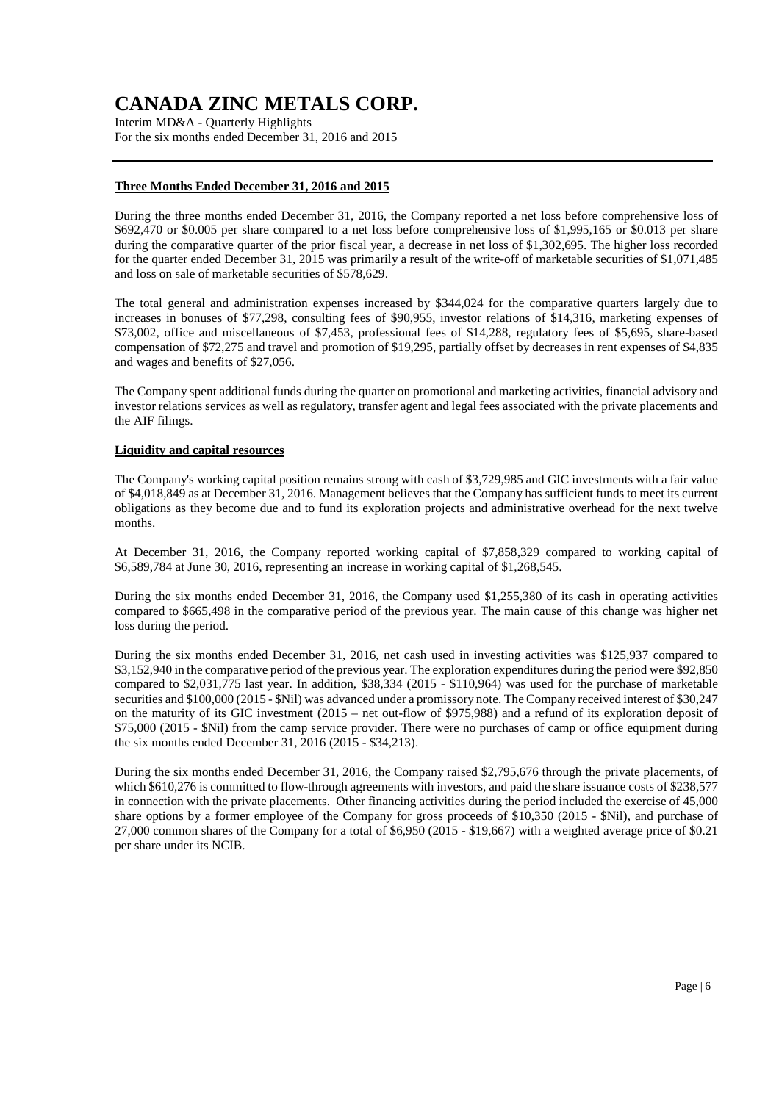Interim MD&A - Quarterly Highlights For the six months ended December 31, 2016 and 2015

#### **Three Months Ended December 31, 2016 and 2015**

During the three months ended December 31, 2016, the Company reported a net loss before comprehensive loss of \$692,470 or \$0.005 per share compared to a net loss before comprehensive loss of \$1,995,165 or \$0.013 per share during the comparative quarter of the prior fiscal year, a decrease in net loss of \$1,302,695. The higher loss recorded for the quarter ended December 31, 2015 was primarily a result of the write-off of marketable securities of \$1,071,485 and loss on sale of marketable securities of \$578,629.

The total general and administration expenses increased by \$344,024 for the comparative quarters largely due to increases in bonuses of \$77,298, consulting fees of \$90,955, investor relations of \$14,316, marketing expenses of \$73,002, office and miscellaneous of \$7,453, professional fees of \$14,288, regulatory fees of \$5,695, share-based compensation of \$72,275 and travel and promotion of \$19,295, partially offset by decreases in rent expenses of \$4,835 and wages and benefits of \$27,056.

The Company spent additional funds during the quarter on promotional and marketing activities, financial advisory and investor relations services as well as regulatory, transfer agent and legal fees associated with the private placements and the AIF filings.

#### **Liquidity and capital resources**

The Company's working capital position remains strong with cash of \$3,729,985 and GIC investments with a fair value of \$4,018,849 as at December 31, 2016. Management believes that the Company has sufficient funds to meet its current obligations as they become due and to fund its exploration projects and administrative overhead for the next twelve months.

At December 31, 2016, the Company reported working capital of \$7,858,329 compared to working capital of \$6,589,784 at June 30, 2016, representing an increase in working capital of \$1,268,545.

During the six months ended December 31, 2016, the Company used \$1,255,380 of its cash in operating activities compared to \$665,498 in the comparative period of the previous year. The main cause of this change was higher net loss during the period.

During the six months ended December 31, 2016, net cash used in investing activities was \$125,937 compared to \$3,152,940 in the comparative period of the previous year. The exploration expenditures during the period were \$92,850 compared to  $$2.031,775$  last year. In addition,  $$38,334$  (2015 -  $$110,964$ ) was used for the purchase of marketable securities and \$100,000 (2015 - \$Nil) was advanced under a promissory note. The Company received interest of \$30,247 on the maturity of its GIC investment (2015 – net out-flow of \$975,988) and a refund of its exploration deposit of \$75,000 (2015 - \$Nil) from the camp service provider. There were no purchases of camp or office equipment during the six months ended December 31, 2016 (2015 - \$34,213).

During the six months ended December 31, 2016, the Company raised \$2,795,676 through the private placements, of which \$610,276 is committed to flow-through agreements with investors, and paid the share issuance costs of \$238,577 in connection with the private placements. Other financing activities during the period included the exercise of 45,000 share options by a former employee of the Company for gross proceeds of \$10,350 (2015 - \$Nil), and purchase of 27,000 common shares of the Company for a total of \$6,950 (2015 - \$19,667) with a weighted average price of \$0.21 per share under its NCIB.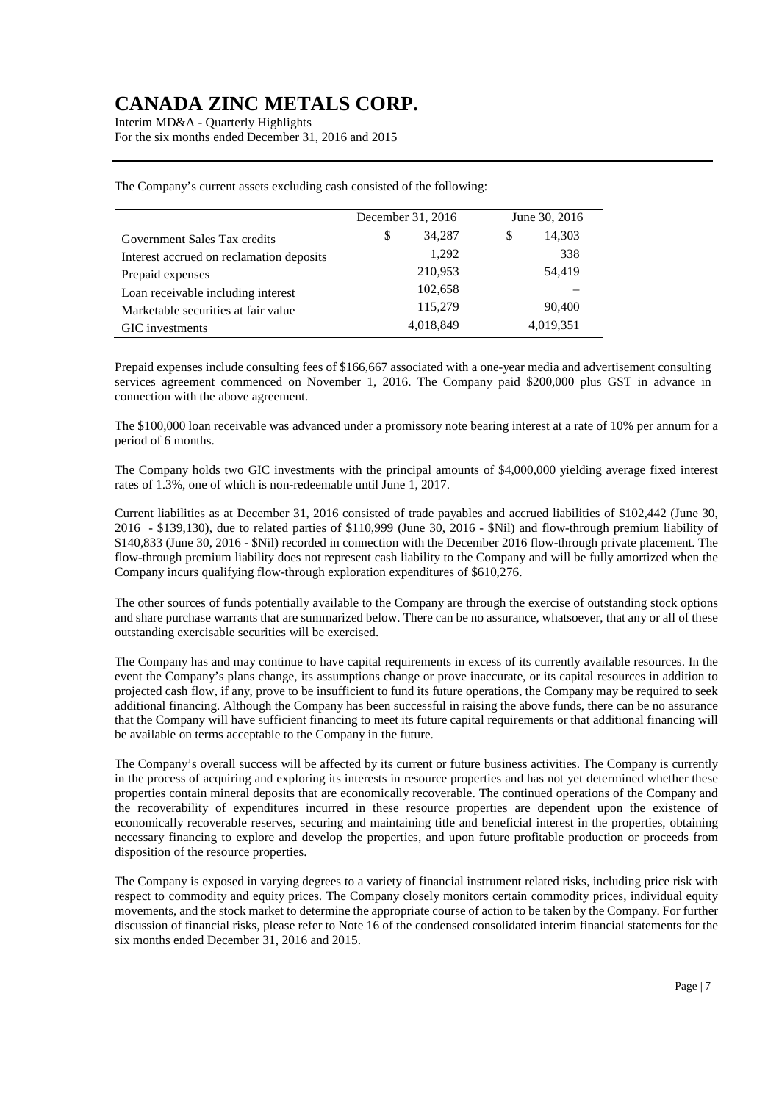Interim MD&A - Quarterly Highlights For the six months ended December 31, 2016 and 2015

|                                          | December 31, 2016 | June 30, 2016 |
|------------------------------------------|-------------------|---------------|
| Government Sales Tax credits             | 34,287<br>\$      | 14,303<br>\$  |
| Interest accrued on reclamation deposits | 1,292             | 338           |
| Prepaid expenses                         | 210,953           | 54,419        |
| Loan receivable including interest       | 102,658           |               |
| Marketable securities at fair value      | 115,279           | 90,400        |
| GIC investments                          | 4,018,849         | 4,019,351     |

The Company's current assets excluding cash consisted of the following:

Prepaid expenses include consulting fees of \$166,667 associated with a one-year media and advertisement consulting services agreement commenced on November 1, 2016. The Company paid \$200,000 plus GST in advance in connection with the above agreement.

The \$100,000 loan receivable was advanced under a promissory note bearing interest at a rate of 10% per annum for a period of 6 months.

The Company holds two GIC investments with the principal amounts of \$4,000,000 yielding average fixed interest rates of 1.3%, one of which is non-redeemable until June 1, 2017.

Current liabilities as at December 31, 2016 consisted of trade payables and accrued liabilities of \$102,442 (June 30, 2016 - \$139,130), due to related parties of \$110,999 (June 30, 2016 - \$Nil) and flow-through premium liability of \$140,833 (June 30, 2016 - \$Nil) recorded in connection with the December 2016 flow-through private placement. The flow-through premium liability does not represent cash liability to the Company and will be fully amortized when the Company incurs qualifying flow-through exploration expenditures of \$610,276.

The other sources of funds potentially available to the Company are through the exercise of outstanding stock options and share purchase warrants that are summarized below. There can be no assurance, whatsoever, that any or all of these outstanding exercisable securities will be exercised.

The Company has and may continue to have capital requirements in excess of its currently available resources. In the event the Company's plans change, its assumptions change or prove inaccurate, or its capital resources in addition to projected cash flow, if any, prove to be insufficient to fund its future operations, the Company may be required to seek additional financing. Although the Company has been successful in raising the above funds, there can be no assurance that the Company will have sufficient financing to meet its future capital requirements or that additional financing will be available on terms acceptable to the Company in the future.

The Company's overall success will be affected by its current or future business activities. The Company is currently in the process of acquiring and exploring its interests in resource properties and has not yet determined whether these properties contain mineral deposits that are economically recoverable. The continued operations of the Company and the recoverability of expenditures incurred in these resource properties are dependent upon the existence of economically recoverable reserves, securing and maintaining title and beneficial interest in the properties, obtaining necessary financing to explore and develop the properties, and upon future profitable production or proceeds from disposition of the resource properties.

The Company is exposed in varying degrees to a variety of financial instrument related risks, including price risk with respect to commodity and equity prices. The Company closely monitors certain commodity prices, individual equity movements, and the stock market to determine the appropriate course of action to be taken by the Company. For further discussion of financial risks, please refer to Note 16 of the condensed consolidated interim financial statements for the six months ended December 31, 2016 and 2015.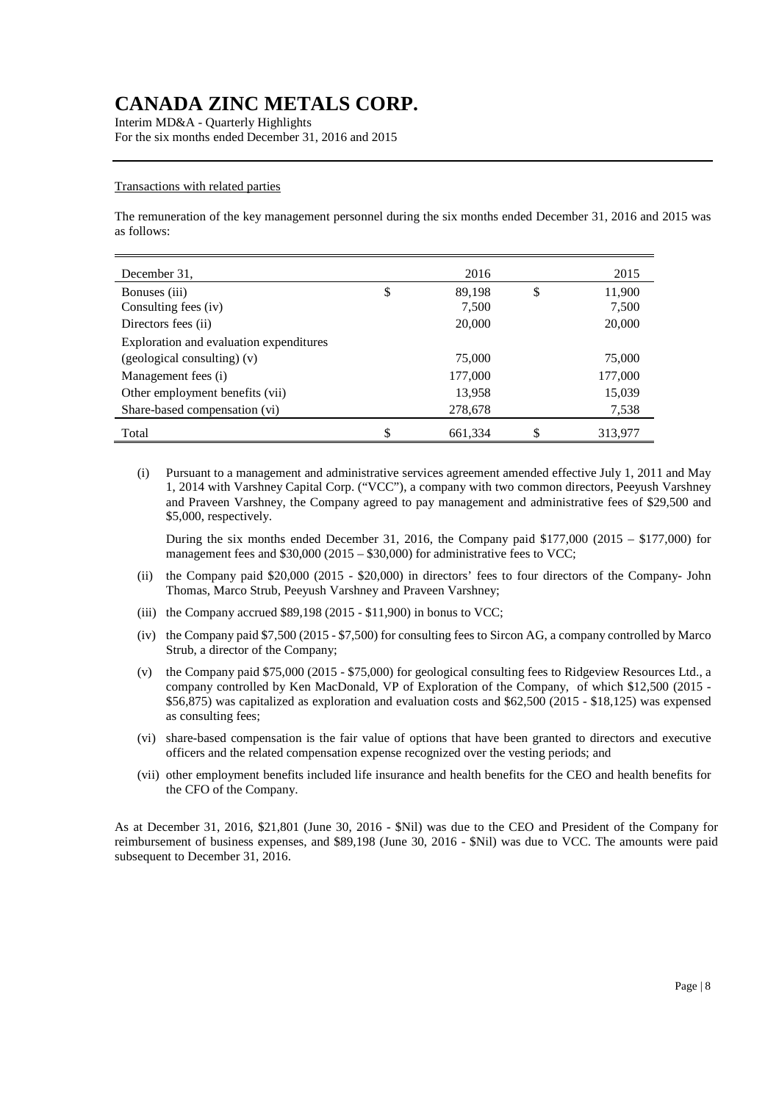Interim MD&A - Quarterly Highlights For the six months ended December 31, 2016 and 2015

#### Transactions with related parties

The remuneration of the key management personnel during the six months ended December 31, 2016 and 2015 was as follows:

| December 31,                            | 2016          | 2015          |
|-----------------------------------------|---------------|---------------|
| Bonuses (iii)                           | \$<br>89,198  | \$<br>11,900  |
| Consulting fees (iv)                    | 7,500         | 7,500         |
| Directors fees (ii)                     | 20,000        | 20,000        |
| Exploration and evaluation expenditures |               |               |
| (geological consulting) (v)             | 75,000        | 75,000        |
| Management fees (i)                     | 177,000       | 177,000       |
| Other employment benefits (vii)         | 13,958        | 15,039        |
| Share-based compensation (vi)           | 278,678       | 7,538         |
| Total                                   | \$<br>661,334 | \$<br>313,977 |

(i) Pursuant to a management and administrative services agreement amended effective July 1, 2011 and May 1, 2014 with Varshney Capital Corp. ("VCC"), a company with two common directors, Peeyush Varshney and Praveen Varshney, the Company agreed to pay management and administrative fees of \$29,500 and \$5,000, respectively.

During the six months ended December 31, 2016, the Company paid  $$177,000$  (2015 –  $$177,000$ ) for management fees and \$30,000 (2015 – \$30,000) for administrative fees to VCC:

- (ii) the Company paid \$20,000 (2015 \$20,000) in directors' fees to four directors of the Company- John Thomas, Marco Strub, Peeyush Varshney and Praveen Varshney;
- (iii) the Company accrued  $$89,198$  (2015 \$11,900) in bonus to VCC;
- (iv) the Company paid \$7,500 (2015 \$7,500) for consulting fees to Sircon AG, a company controlled by Marco Strub, a director of the Company;
- (v) the Company paid \$75,000 (2015 \$75,000) for geological consulting fees to Ridgeview Resources Ltd., a company controlled by Ken MacDonald, VP of Exploration of the Company, of which \$12,500 (2015 - \$56,875) was capitalized as exploration and evaluation costs and \$62,500 (2015 - \$18,125) was expensed as consulting fees;
- (vi) share-based compensation is the fair value of options that have been granted to directors and executive officers and the related compensation expense recognized over the vesting periods; and
- (vii) other employment benefits included life insurance and health benefits for the CEO and health benefits for the CFO of the Company.

As at December 31, 2016, \$21,801 (June 30, 2016 - \$Nil) was due to the CEO and President of the Company for reimbursement of business expenses, and \$89,198 (June 30, 2016 - \$Nil) was due to VCC. The amounts were paid subsequent to December 31, 2016.